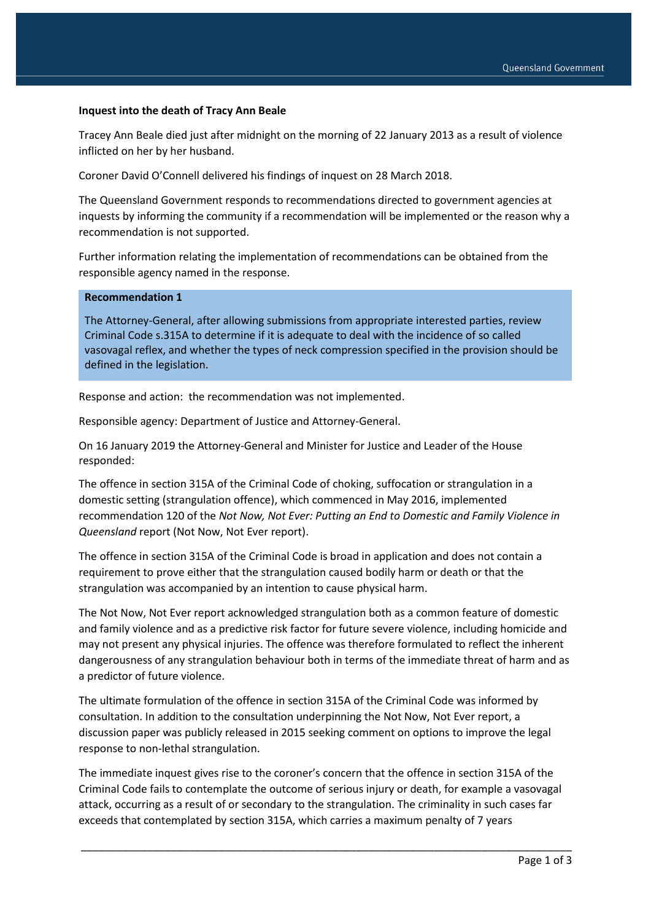## **Inquest into the death of Tracy Ann Beale**

Tracey Ann Beale died just after midnight on the morning of 22 January 2013 as a result of violence inflicted on her by her husband.

Coroner David O'Connell delivered his findings of inquest on 28 March 2018.

The Queensland Government responds to recommendations directed to government agencies at inquests by informing the community if a recommendation will be implemented or the reason why a recommendation is not supported.

Further information relating the implementation of recommendations can be obtained from the responsible agency named in the response.

## **Recommendation 1**

The Attorney-General, after allowing submissions from appropriate interested parties, review Criminal Code s.315A to determine if it is adequate to deal with the incidence of so called vasovagal reflex, and whether the types of neck compression specified in the provision should be defined in the legislation.

Response and action: the recommendation was not implemented.

Responsible agency: Department of Justice and Attorney-General.

On 16 January 2019 the Attorney-General and Minister for Justice and Leader of the House responded:

The offence in section 315A of the Criminal Code of choking, suffocation or strangulation in a domestic setting (strangulation offence), which commenced in May 2016, implemented recommendation 120 of the *Not Now, Not Ever: Putting an End to Domestic and Family Violence in Queensland* report (Not Now, Not Ever report).

The offence in section 315A of the Criminal Code is broad in application and does not contain a requirement to prove either that the strangulation caused bodily harm or death or that the strangulation was accompanied by an intention to cause physical harm.

The Not Now, Not Ever report acknowledged strangulation both as a common feature of domestic and family violence and as a predictive risk factor for future severe violence, including homicide and may not present any physical injuries. The offence was therefore formulated to reflect the inherent dangerousness of any strangulation behaviour both in terms of the immediate threat of harm and as a predictor of future violence.

The ultimate formulation of the offence in section 315A of the Criminal Code was informed by consultation. In addition to the consultation underpinning the Not Now, Not Ever report, a discussion paper was publicly released in 2015 seeking comment on options to improve the legal response to non-lethal strangulation.

The immediate inquest gives rise to the coroner's concern that the offence in section 315A of the Criminal Code fails to contemplate the outcome of serious injury or death, for example a vasovagal attack, occurring as a result of or secondary to the strangulation. The criminality in such cases far exceeds that contemplated by section 315A, which carries a maximum penalty of 7 years

\_\_\_\_\_\_\_\_\_\_\_\_\_\_\_\_\_\_\_\_\_\_\_\_\_\_\_\_\_\_\_\_\_\_\_\_\_\_\_\_\_\_\_\_\_\_\_\_\_\_\_\_\_\_\_\_\_\_\_\_\_\_\_\_\_\_\_\_\_\_\_\_\_\_\_\_\_\_\_\_\_\_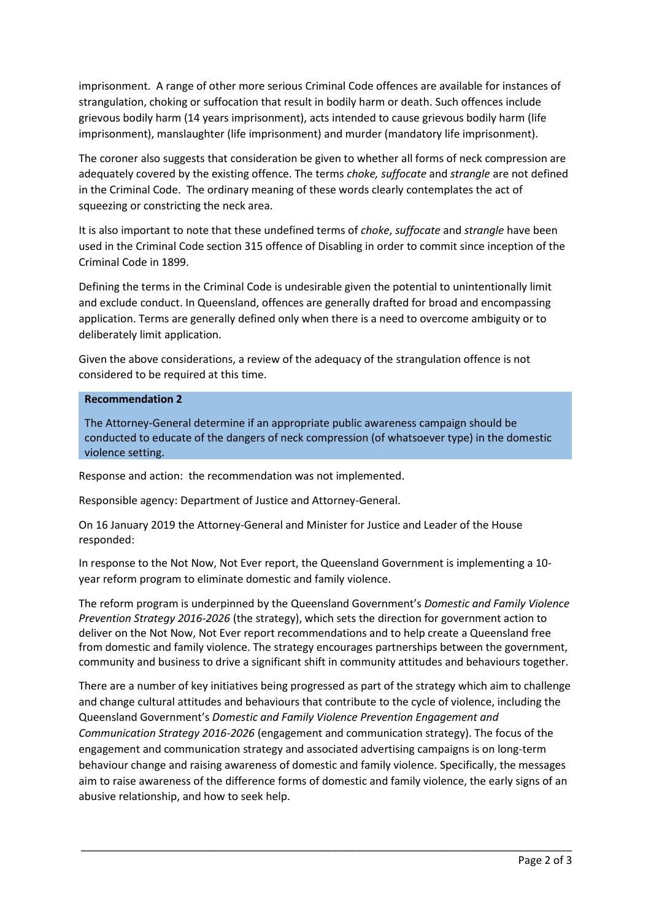imprisonment. A range of other more serious Criminal Code offences are available for instances of strangulation, choking or suffocation that result in bodily harm or death. Such offences include grievous bodily harm (14 years imprisonment), acts intended to cause grievous bodily harm (life imprisonment), manslaughter (life imprisonment) and murder (mandatory life imprisonment).

The coroner also suggests that consideration be given to whether all forms of neck compression are adequately covered by the existing offence. The terms *choke, suffocate* and *strangle* are not defined in the Criminal Code. The ordinary meaning of these words clearly contemplates the act of squeezing or constricting the neck area.

It is also important to note that these undefined terms of *choke*, *suffocate* and *strangle* have been used in the Criminal Code section 315 offence of Disabling in order to commit since inception of the Criminal Code in 1899.

Defining the terms in the Criminal Code is undesirable given the potential to unintentionally limit and exclude conduct. In Queensland, offences are generally drafted for broad and encompassing application. Terms are generally defined only when there is a need to overcome ambiguity or to deliberately limit application.

Given the above considerations, a review of the adequacy of the strangulation offence is not considered to be required at this time.

## **Recommendation 2**

The Attorney-General determine if an appropriate public awareness campaign should be conducted to educate of the dangers of neck compression (of whatsoever type) in the domestic violence setting.

Response and action: the recommendation was not implemented.

Responsible agency: Department of Justice and Attorney-General.

On 16 January 2019 the Attorney-General and Minister for Justice and Leader of the House responded:

In response to the Not Now, Not Ever report, the Queensland Government is implementing a 10 year reform program to eliminate domestic and family violence.

The reform program is underpinned by the Queensland Government's *Domestic and Family Violence Prevention Strategy 2016-2026* (the strategy), which sets the direction for government action to deliver on the Not Now, Not Ever report recommendations and to help create a Queensland free from domestic and family violence. The strategy encourages partnerships between the government, community and business to drive a significant shift in community attitudes and behaviours together.

There are a number of key initiatives being progressed as part of the strategy which aim to challenge and change cultural attitudes and behaviours that contribute to the cycle of violence, including the Queensland Government's *Domestic and Family Violence Prevention Engagement and Communication Strategy 2016-2026* (engagement and communication strategy). The focus of the engagement and communication strategy and associated advertising campaigns is on long-term behaviour change and raising awareness of domestic and family violence. Specifically, the messages aim to raise awareness of the difference forms of domestic and family violence, the early signs of an abusive relationship, and how to seek help.

\_\_\_\_\_\_\_\_\_\_\_\_\_\_\_\_\_\_\_\_\_\_\_\_\_\_\_\_\_\_\_\_\_\_\_\_\_\_\_\_\_\_\_\_\_\_\_\_\_\_\_\_\_\_\_\_\_\_\_\_\_\_\_\_\_\_\_\_\_\_\_\_\_\_\_\_\_\_\_\_\_\_